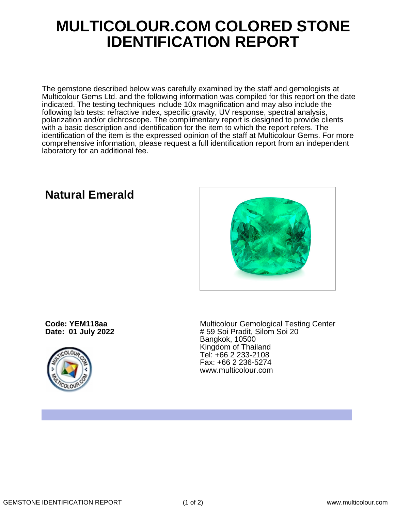## **MULTICOLOUR.COM COLORED STONE IDENTIFICATION REPORT**

The gemstone described below was carefully examined by the staff and gemologists at Multicolour Gems Ltd. and the following information was compiled for this report on the date indicated. The testing techniques include 10x magnification and may also include the following lab tests: refractive index, specific gravity, UV response, spectral analysis, polarization and/or dichroscope. The complimentary report is designed to provide clients with a basic description and identification for the item to which the report refers. The identification of the item is the expressed opinion of the staff at Multicolour Gems. For more comprehensive information, please request a full identification report from an independent laboratory for an additional fee.

**Code: YEM118aa Date: 01 July 2022**



Multicolour Gemological Testing Center # 59 Soi Pradit, Silom Soi 20 Bangkok, 10500 Kingdom of Thailand Tel: +66 2 233-2108 Fax: +66 2 236-5274 www.multicolour.com

**Natural Emerald**